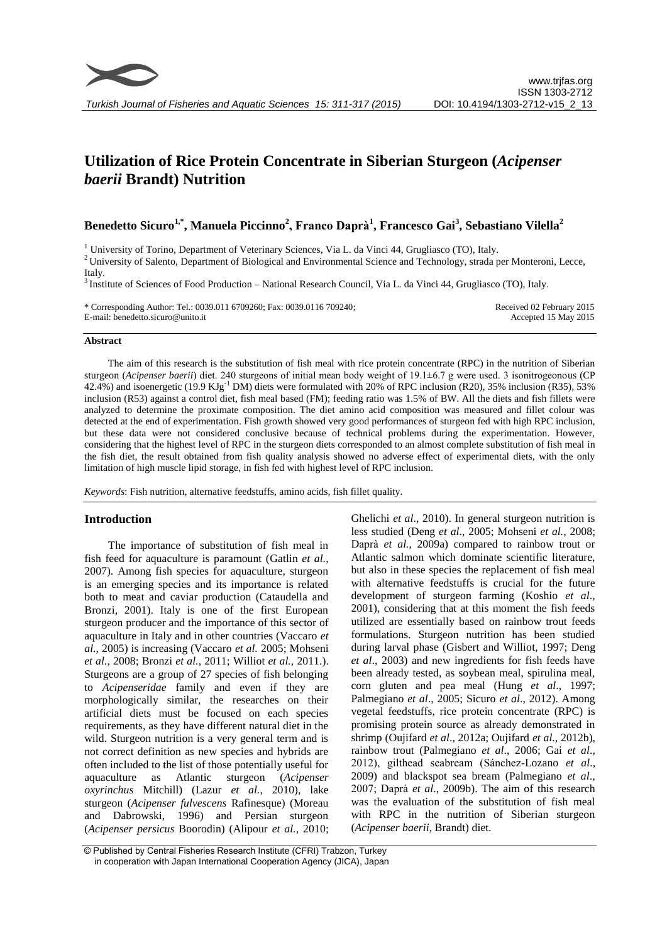

# **Utilization of Rice Protein Concentrate in Siberian Sturgeon (***Acipenser baerii* **Brandt) Nutrition**

**Benedetto Sicuro1,\* , Manuela Piccinno<sup>2</sup> , Franco Daprà<sup>1</sup> , Francesco Gai<sup>3</sup> , Sebastiano Vilella<sup>2</sup>**

<sup>1</sup> University of Torino, Department of Veterinary Sciences, Via L. da Vinci 44, Grugliasco (TO), Italy.

<sup>2</sup>University of Salento, Department of Biological and Environmental Science and Technology, strada per Monteroni, Lecce, Italy.

<sup>3</sup> Institute of Sciences of Food Production – National Research Council, Via L. da Vinci 44, Grugliasco (TO), Italy.

\* Corresponding Author: Tel.: 0039.011 6709260; Fax: 0039.0116 709240; E-mail: benedetto.sicuro@unito.it

Received 02 February 2015 Accepted 15 May 2015

## **Abstract**

The aim of this research is the substitution of fish meal with rice protein concentrate (RPC) in the nutrition of Siberian sturgeon (*Acipenser baerii*) diet. 240 sturgeons of initial mean body weight of 19.1±6.7 g were used. 3 isonitrogeonous (CP 42.4%) and isoenergetic (19.9 KJg-1 DM) diets were formulated with 20% of RPC inclusion (R20), 35% inclusion (R35), 53% inclusion (R53) against a control diet, fish meal based (FM); feeding ratio was 1.5% of BW. All the diets and fish fillets were analyzed to determine the proximate composition. The diet amino acid composition was measured and fillet colour was detected at the end of experimentation. Fish growth showed very good performances of sturgeon fed with high RPC inclusion, but these data were not considered conclusive because of technical problems during the experimentation. However, considering that the highest level of RPC in the sturgeon diets corresponded to an almost complete substitution of fish meal in the fish diet, the result obtained from fish quality analysis showed no adverse effect of experimental diets, with the only limitation of high muscle lipid storage, in fish fed with highest level of RPC inclusion.

*Keywords*: Fish nutrition, alternative feedstuffs, amino acids, fish fillet quality.

# **Introduction**

The importance of substitution of fish meal in fish feed for aquaculture is paramount (Gatlin *et al.*, 2007). Among fish species for aquaculture, sturgeon is an emerging species and its importance is related both to meat and caviar production (Cataudella and Bronzi, 2001). Italy is one of the first European sturgeon producer and the importance of this sector of aquaculture in Italy and in other countries (Vaccaro *et al*., 2005) is increasing (Vaccaro *et al.* 2005; Mohseni *et al.*, 2008; Bronzi *et al.*, 2011; Williot *et al.*, 2011.). Sturgeons are a group of 27 species of fish belonging to *Acipenseridae* family and even if they are morphologically similar, the researches on their artificial diets must be focused on each species requirements, as they have different natural diet in the wild. Sturgeon nutrition is a very general term and is not correct definition as new species and hybrids are often included to the list of those potentially useful for aquaculture as Atlantic sturgeon (*Acipenser oxyrinchus* Mitchill) (Lazur *et al.*, 2010), lake sturgeon (*Acipenser fulvescens* Rafinesque) (Moreau and Dabrowski, 1996) and Persian sturgeon (*Acipenser persicus* Boorodin) (Alipour *et al.*, 2010;

Ghelichi *et al*., 2010). In general sturgeon nutrition is less studied (Deng *et al*., 2005; Mohseni *et al.*, 2008; Daprà *et al.*, 2009a) compared to rainbow trout or Atlantic salmon which dominate scientific literature, but also in these species the replacement of fish meal with alternative feedstuffs is crucial for the future development of sturgeon farming (Koshio *et al*., 2001), considering that at this moment the fish feeds utilized are essentially based on rainbow trout feeds formulations. Sturgeon nutrition has been studied during larval phase (Gisbert and Williot, 1997; Deng *et al*., 2003) and new ingredients for fish feeds have been already tested, as soybean meal, spirulina meal, corn gluten and pea meal (Hung *et al*., 1997; Palmegiano *et al*., 2005; Sicuro *et al*., 2012). Among vegetal feedstuffs, rice protein concentrate (RPC) is promising protein source as already demonstrated in shrimp (Oujifard *et al*., 2012a; Oujifard *et al*., 2012b), rainbow trout (Palmegiano *et al*., 2006; Gai *et al*., 2012), gilthead seabream (Sánchez-Lozano *et al*., 2009) and blackspot sea bream (Palmegiano *et al*., 2007; Daprà *et al*., 2009b). The aim of this research was the evaluation of the substitution of fish meal with RPC in the nutrition of Siberian sturgeon (*Acipenser baerii*, Brandt) diet.

<sup>©</sup> Published by Central Fisheries Research Institute (CFRI) Trabzon, Turkey in cooperation with Japan International Cooperation Agency (JICA), Japan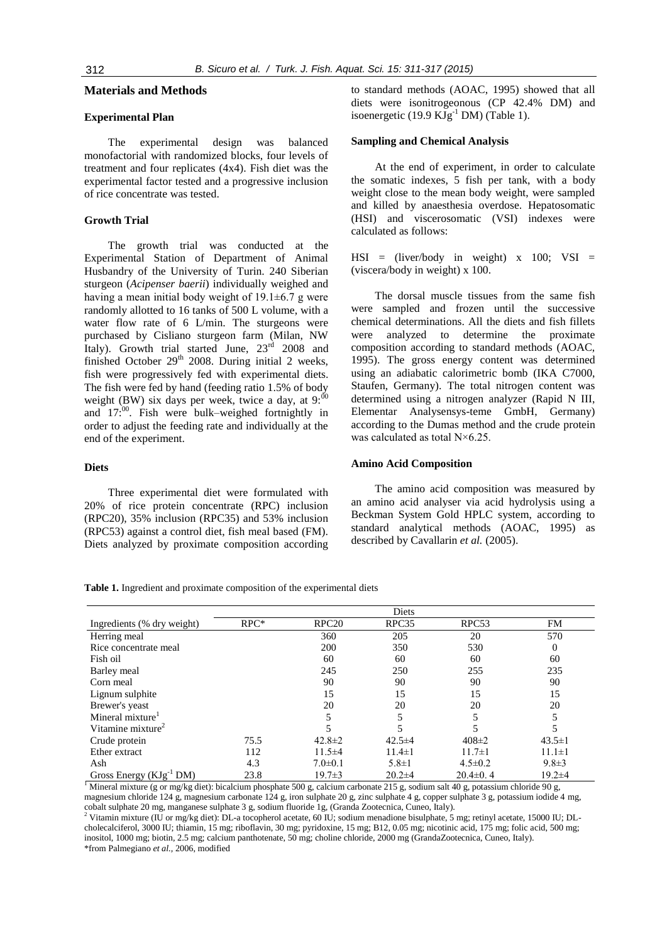# **Materials and Methods**

# **Experimental Plan**

The experimental design was balanced monofactorial with randomized blocks, four levels of treatment and four replicates (4x4). Fish diet was the experimental factor tested and a progressive inclusion of rice concentrate was tested.

# **Growth Trial**

The growth trial was conducted at the Experimental Station of Department of Animal Husbandry of the University of Turin. 240 Siberian sturgeon (*Acipenser baerii*) individually weighed and having a mean initial body weight of  $19.1\pm6.7$  g were randomly allotted to 16 tanks of 500 L volume, with a water flow rate of 6 L/min. The sturgeons were purchased by Cisliano sturgeon farm (Milan, NW Italy). Growth trial started June,  $23^{\text{rd}}$  2008 and finished October  $29<sup>th</sup>$  2008. During initial 2 weeks, fish were progressively fed with experimental diets. The fish were fed by hand (feeding ratio 1.5% of body weight (BW) six days per week, twice a day, at  $9:00$ and  $17$ :<sup>00</sup>. Fish were bulk–weighed fortnightly in order to adjust the feeding rate and individually at the end of the experiment.

#### **Diets**

Three experimental diet were formulated with 20% of rice protein concentrate (RPC) inclusion (RPC20), 35% inclusion (RPC35) and 53% inclusion (RPC53) against a control diet, fish meal based (FM). Diets analyzed by proximate composition according to standard methods (AOAC, 1995) showed that all diets were isonitrogeonous (CP 42.4% DM) and isoenergetic (19.9  $KJg^{-1}$  DM) (Table 1).

# **Sampling and Chemical Analysis**

At the end of experiment, in order to calculate the somatic indexes, 5 fish per tank, with a body weight close to the mean body weight, were sampled and killed by anaesthesia overdose. Hepatosomatic (HSI) and viscerosomatic (VSI) indexes were calculated as follows:

 $HSI = (liver/body$  in weight) x 100; VSI = (viscera/body in weight) x 100.

The dorsal muscle tissues from the same fish were sampled and frozen until the successive chemical determinations. All the diets and fish fillets were analyzed to determine the proximate composition according to standard methods (AOAC, 1995). The gross energy content was determined using an adiabatic calorimetric bomb (IKA C7000, Staufen, Germany). The total nitrogen content was determined using a nitrogen analyzer (Rapid N III, Elementar Analysensys-teme GmbH, Germany) according to the Dumas method and the crude protein was calculated as total N×6.25.

## **Amino Acid Composition**

The amino acid composition was measured by an amino acid analyser via acid hydrolysis using a Beckman System Gold HPLC system, according to standard analytical methods (AOAC, 1995) as described by Cavallarin *et al.* (2005).

**Table 1.** Ingredient and proximate composition of the experimental diets

|                               | Diets  |                   |              |                   |              |
|-------------------------------|--------|-------------------|--------------|-------------------|--------------|
| Ingredients (% dry weight)    | $RPC*$ | RPC <sub>20</sub> | RPC35        | RPC <sub>53</sub> | FM           |
| Herring meal                  |        | 360               | 205          | 20                | 570          |
| Rice concentrate meal         |        | 200               | 350          | 530               | 0            |
| Fish oil                      |        | 60                | 60           | 60                | 60           |
| Barley meal                   |        | 245               | 250          | 255               | 235          |
| Corn meal                     |        | 90                | 90           | 90                | 90           |
| Lignum sulphite               |        | 15                | 15           | 15                | 15           |
| Brewer's yeast                |        | 20                | 20           | 20                | 20           |
| Mineral mixture <sup>1</sup>  |        |                   |              |                   |              |
| Vitamine mixture <sup>2</sup> |        |                   |              |                   |              |
| Crude protein                 | 75.5   | $42.8 \pm 2$      | $42.5 \pm 4$ | $408 \pm 2$       | $43.5 \pm 1$ |
| Ether extract                 | 112    | $11.5 \pm 4$      | $11.4 \pm 1$ | $11.7 \pm 1$      | $11.1 \pm 1$ |
| Ash                           | 4.3    | $7.0 \pm 0.1$     | $5.8 \pm 1$  | $4.5 \pm 0.2$     | $9.8 \pm 3$  |
| Gross Energy $(KJg^{-1}DM)$   | 23.8   | $19.7 \pm 3$      | $20.2 \pm 4$ | $20.4\pm 0.4$     | $19.2 \pm 4$ |

<sup>1</sup> Mineral mixture (g or mg/kg diet): bicalcium phosphate 500 g, calcium carbonate 215 g, sodium salt 40 g, potassium chloride 90 g, magnesium chloride 124 g, magnesium carbonate 124 g, iron sulphate 20 g, zinc sulphate 4 g, copper sulphate 3 g, potassium iodide 4 mg, cobalt sulphate 20 mg, manganese sulphate 3 g, sodium fluoride 1g, (Granda Zootecnica, Cuneo, Italy).

<sup>2</sup> Vitamin mixture (IU or mg/kg diet): DL-a tocopherol acetate, 60 IU; sodium menadione bisulphate, 5 mg; retinyl acetate, 15000 IU; DLcholecalciferol, 3000 IU; thiamin, 15 mg; riboflavin, 30 mg; pyridoxine, 15 mg; B12, 0.05 mg; nicotinic acid, 175 mg; folic acid, 500 mg; inositol, 1000 mg; biotin, 2.5 mg; calcium panthotenate, 50 mg; choline chloride, 2000 mg (GrandaZootecnica, Cuneo, Italy).

\*from Palmegiano *et al.,* 2006, modified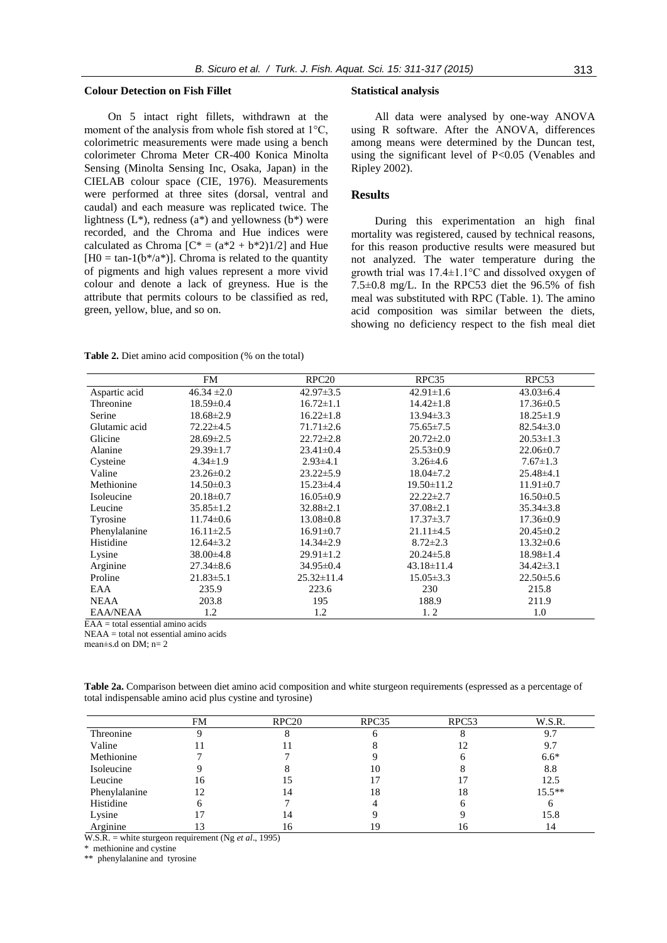## **Colour Detection on Fish Fillet**

On 5 intact right fillets, withdrawn at the moment of the analysis from whole fish stored at 1°C, colorimetric measurements were made using a bench colorimeter Chroma Meter CR-400 Konica Minolta Sensing (Minolta Sensing Inc, Osaka, Japan) in the CIELAB colour space (CIE, 1976). Measurements were performed at three sites (dorsal, ventral and caudal) and each measure was replicated twice. The lightness  $(L^*)$ , redness  $(a^*)$  and yellowness  $(b^*)$  were recorded, and the Chroma and Hue indices were calculated as Chroma  $[C^* = (a^*2 + b^*2)1/2]$  and Hue  $[H0 = \tan^{-1}(b^*/a^*)]$ . Chroma is related to the quantity of pigments and high values represent a more vivid colour and denote a lack of greyness. Hue is the attribute that permits colours to be classified as red, green, yellow, blue, and so on.

#### **Statistical analysis**

All data were analysed by one-way ANOVA using R software. After the ANOVA, differences among means were determined by the Duncan test, using the significant level of P<0.05 (Venables and Ripley 2002).

# **Results**

During this experimentation an high final mortality was registered, caused by technical reasons, for this reason productive results were measured but not analyzed. The water temperature during the growth trial was 17.4±1.1°C and dissolved oxygen of 7.5±0.8 mg/L. In the RPC53 diet the 96.5% of fish meal was substituted with RPC (Table. 1). The amino acid composition was similar between the diets, showing no deficiency respect to the fish meal diet

**Table 2.** Diet amino acid composition (% on the total)

|                 | <b>FM</b>       | RPC <sub>20</sub> | RPC35            | RPC53           |
|-----------------|-----------------|-------------------|------------------|-----------------|
| Aspartic acid   | $46.34 \pm 2.0$ | $42.97 \pm 3.5$   | $42.91 \pm 1.6$  | $43.03\pm6.4$   |
| Threonine       | $18.59 \pm 0.4$ | $16.72 \pm 1.1$   | $14.42 \pm 1.8$  | $17.36 \pm 0.5$ |
| Serine          | $18.68 \pm 2.9$ | $16.22 \pm 1.8$   | $13.94\pm3.3$    | $18.25 \pm 1.9$ |
| Glutamic acid   | $72.22 \pm 4.5$ | $71.71 \pm 2.6$   | $75.65 \pm 7.5$  | $82.54 \pm 3.0$ |
| Glicine         | $28.69 \pm 2.5$ | $22.72 \pm 2.8$   | $20.72 \pm 2.0$  | $20.53 \pm 1.3$ |
| Alanine         | $29.39 \pm 1.7$ | $23.41 \pm 0.4$   | $25.53 \pm 0.9$  | $22.06 \pm 0.7$ |
| Cysteine        | $4.34 \pm 1.9$  | $2.93 \pm 4.1$    | $3.26\pm4.6$     | $7.67 \pm 1.3$  |
| Valine          | $23.26 \pm 0.2$ | $23.22 \pm 5.9$   | $18.04 \pm 7.2$  | $25.48\pm4.1$   |
| Methionine      | $14.50 \pm 0.3$ | $15.23 \pm 4.4$   | $19.50 \pm 11.2$ | $11.91 \pm 0.7$ |
| Isoleucine      | $20.18 \pm 0.7$ | $16.05 \pm 0.9$   | $22.22 \pm 2.7$  | $16.50 \pm 0.5$ |
| Leucine         | $35.85 \pm 1.2$ | $32.88 \pm 2.1$   | $37.08 \pm 2.1$  | $35.34 \pm 3.8$ |
| Tyrosine        | $11.74 \pm 0.6$ | $13.08 \pm 0.8$   | $17.37 \pm 3.7$  | $17.36 \pm 0.9$ |
| Phenylalanine   | $16.11 \pm 2.5$ | $16.91 \pm 0.7$   | $21.11 \pm 4.5$  | $20.45 \pm 0.2$ |
| Histidine       | $12.64\pm3.2$   | $14.34 \pm 2.9$   | $8.72 \pm 2.3$   | $13.32 \pm 0.6$ |
| Lysine          | $38.00\pm4.8$   | $29.91 \pm 1.2$   | $20.24 \pm 5.8$  | $18.98 \pm 1.4$ |
| Arginine        | $27.34 \pm 8.6$ | $34.95 \pm 0.4$   | $43.18 \pm 11.4$ | $34.42 \pm 3.1$ |
| Proline         | $21.83 \pm 5.1$ | $25.32 \pm 11.4$  | $15.05 \pm 3.3$  | $22.50 \pm 5.6$ |
| EAA             | 235.9           | 223.6             | 230              | 215.8           |
| <b>NEAA</b>     | 203.8           | 195               | 188.9            | 211.9           |
| <b>EAA/NEAA</b> | 1.2             | 1.2               | 1, 2             | 1.0             |

 $EAA =$  total essential amino acids

NEAA = total not essential amino acids

mean±s.d on DM; n= 2

**Table 2a.** Comparison between diet amino acid composition and white sturgeon requirements (espressed as a percentage of total indispensable amino acid plus cystine and tyrosine)

|               | FM | RPC <sub>20</sub> | RPC35 | RPC <sub>53</sub> | W.S.R.   |
|---------------|----|-------------------|-------|-------------------|----------|
| Threonine     |    |                   | O     |                   | 9.7      |
| Valine        |    |                   |       | 12                | 9.7      |
| Methionine    |    |                   |       |                   | $6.6*$   |
| Isoleucine    |    |                   | 10    |                   | 8.8      |
| Leucine       | 16 |                   | 17    |                   | 12.5     |
| Phenylalanine | 12 | 14                | 18    | 18                | $15.5**$ |
| Histidine     | h  |                   |       |                   | n        |
| Lysine        |    | 14                |       |                   | 15.8     |
| Arginine      |    | 16                | 19    | 16                | 14       |

W.S.R. = white sturgeon requirement (Ng *et al*., 1995)

methionine and cystine

\*\* phenylalanine and tyrosine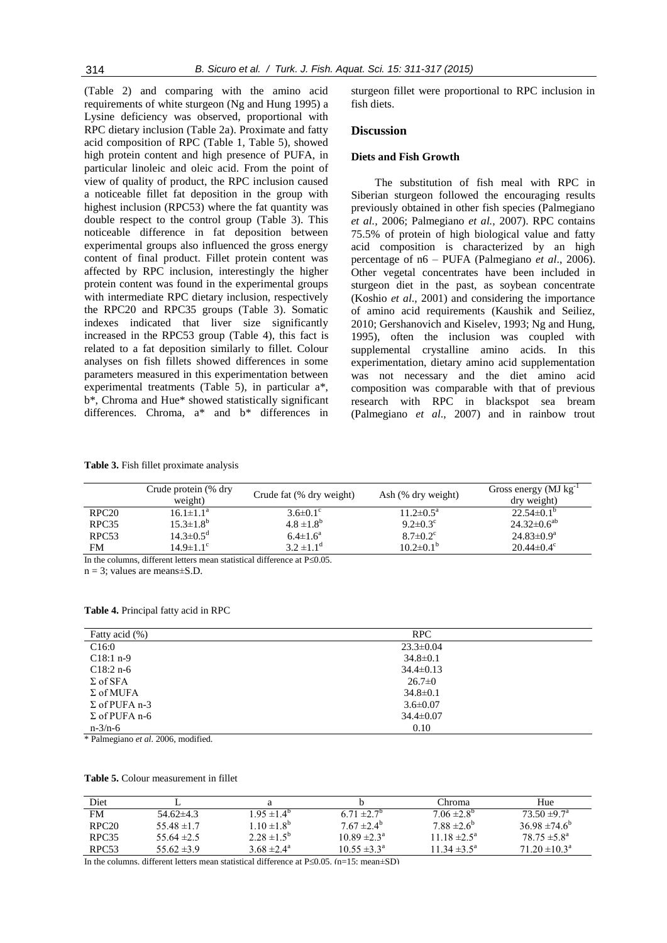(Table 2) and comparing with the amino acid requirements of white sturgeon (Ng and Hung 1995) a Lysine deficiency was observed, proportional with RPC dietary inclusion (Table 2a). Proximate and fatty acid composition of RPC (Table 1, Table 5), showed high protein content and high presence of PUFA, in particular linoleic and oleic acid. From the point of view of quality of product, the RPC inclusion caused a noticeable fillet fat deposition in the group with highest inclusion (RPC53) where the fat quantity was double respect to the control group (Table 3). This noticeable difference in fat deposition between experimental groups also influenced the gross energy content of final product. Fillet protein content was affected by RPC inclusion, interestingly the higher protein content was found in the experimental groups with intermediate RPC dietary inclusion, respectively the RPC20 and RPC35 groups (Table 3). Somatic indexes indicated that liver size significantly increased in the RPC53 group (Table 4), this fact is related to a fat deposition similarly to fillet. Colour analyses on fish fillets showed differences in some parameters measured in this experimentation between experimental treatments (Table 5), in particular a\*, b\*, Chroma and Hue\* showed statistically significant differences. Chroma, a\* and b\* differences in sturgeon fillet were proportional to RPC inclusion in fish diets.

# **Discussion**

## **Diets and Fish Growth**

The substitution of fish meal with RPC in Siberian sturgeon followed the encouraging results previously obtained in other fish species (Palmegiano *et al.,* 2006; Palmegiano *et al.,* 2007). RPC contains 75.5% of protein of high biological value and fatty acid composition is characterized by an high percentage of n6 – PUFA (Palmegiano *et al*., 2006). Other vegetal concentrates have been included in sturgeon diet in the past, as soybean concentrate (Koshio *et al*., 2001) and considering the importance of amino acid requirements (Kaushik and Seiliez, 2010; Gershanovich and Kiselev, 1993; Ng and Hung, 1995), often the inclusion was coupled with supplemental crystalline amino acids. In this experimentation, dietary amino acid supplementation was not necessary and the diet amino acid composition was comparable with that of previous research with RPC in blackspot sea bream (Palmegiano *et al*., 2007) and in rainbow trout

**Table 3.** Fish fillet proximate analysis

|                                                                               | Crude protein (% dry<br>weight) | Crude fat (% dry weight)   | Ash (% dry weight)         | Gross energy ( $MJ$ kg <sup>-1</sup><br>dry weight) |  |
|-------------------------------------------------------------------------------|---------------------------------|----------------------------|----------------------------|-----------------------------------------------------|--|
| RPC20                                                                         | $16.1 \pm 1.1^{\text{a}}$       | $3.6 \pm 0.1$ °            | $11.2 \pm 0.5^{\text{a}}$  | $22.54 \pm 0.1^{\circ}$                             |  |
| RPC <sub>35</sub>                                                             | $15.3 \pm 1.8^b$                | $4.8 \pm 1.8^{b}$          | $9.2 \pm 0.3$ <sup>c</sup> | $24.32\pm0.6^{ab}$                                  |  |
| RPC <sub>53</sub>                                                             | $14.3 \pm 0.5^{\circ}$          | $6.4 \pm 1.6^{\circ}$      | $8.7 \pm 0.2$ <sup>c</sup> | $24.83 \pm 0.9^a$                                   |  |
| <b>FM</b>                                                                     | $14.9 \pm 1.1$ <sup>c</sup>     | $3.2 \pm 1.1$ <sup>d</sup> | $10.2 \pm 0.1^b$           | $20.44 \pm 0.4^{\circ}$                             |  |
| In the columns, different letters mean statistical difference at $P \le 0.05$ |                                 |                            |                            |                                                     |  |

 $n = 3$ ; values are means $\pm$ S.D.

**Table 4.** Principal fatty acid in RPC

| Fatty acid (%)       | RPC             |  |
|----------------------|-----------------|--|
| C16:0                | $23.3 \pm 0.04$ |  |
| $C18:1 n-9$          | $34.8 \pm 0.1$  |  |
| $C18:2 n-6$          | $34.4 \pm 0.13$ |  |
| $\Sigma$ of SFA      | $26.7 \pm 0$    |  |
| $\Sigma$ of MUFA     | $34.8 \pm 0.1$  |  |
| $\Sigma$ of PUFA n-3 | $3.6 \pm 0.07$  |  |
| $\Sigma$ of PUFA n-6 | $34.4 \pm 0.07$ |  |
| $n - 3/n - 6$        | 0.10            |  |

\* Palmegiano *et al.* 2006, modified.

#### **Table 5.** Colour measurement in fillet

| Diet              |                 |                        |                            | Chroma                      | Hue                           |
|-------------------|-----------------|------------------------|----------------------------|-----------------------------|-------------------------------|
| FM                | $54.62\pm4.3$   | $1.95 \pm 1.4^{\circ}$ | 6.71 $\pm 2.7^{\circ}$     | $7.06 \pm 2.8$ <sup>p</sup> | $73.50 \pm 9.7^{\circ}$       |
| RPC20             | $55.48 \pm 1.7$ | $10 \pm 1.8^{\circ}$   | $7.67 \pm 2.4^{\circ}$     | $7.88 \pm 2.6^{\circ}$      | 36.98 $\pm$ 74.6 <sup>b</sup> |
| RPC <sub>35</sub> | 55.64 $\pm 2.5$ | $2.28 \pm 1.5^b$       | $10.89 \pm 2.3^{\text{a}}$ | $11.18 \pm 2.5^{\circ}$     | $78.75 \pm 5.8^{\circ}$       |
| RPC <sub>53</sub> | $55.62 \pm 3.9$ | 3.68 $\pm 2.4^{\circ}$ | $10.55 \pm 3.3^{\circ}$    | $11.34 \pm 3.5^{\circ}$     | $71.20 \pm 10.3^{\circ}$      |

In the columns, different letters mean statistical difference at  $P\leq 0.05$ . (n=15; mean $\pm$ SD)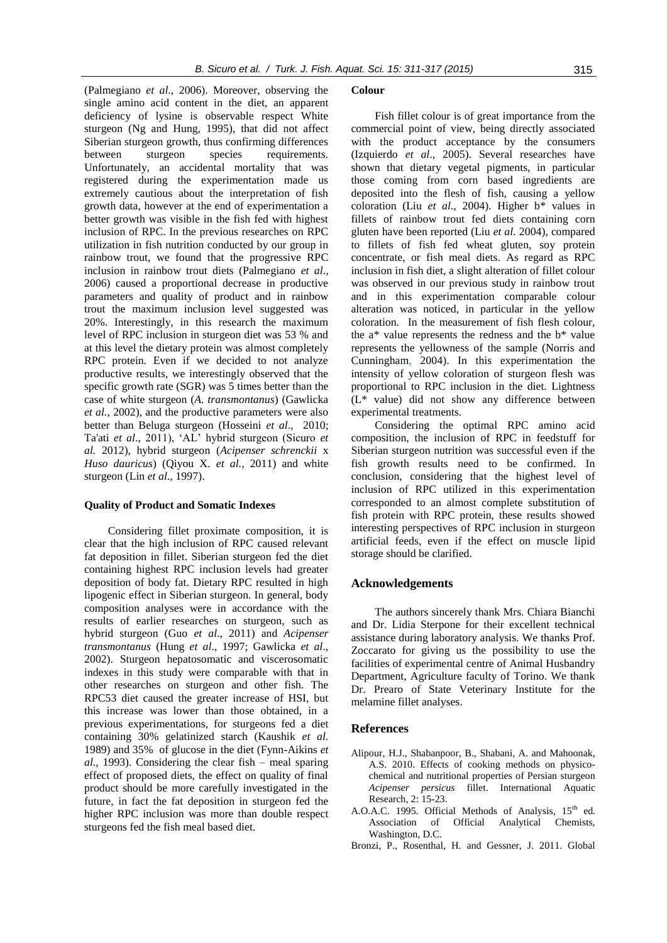(Palmegiano *et al*., 2006). Moreover, observing the single amino acid content in the diet, an apparent deficiency of lysine is observable respect White sturgeon (Ng and Hung*,* 1995), that did not affect Siberian sturgeon growth, thus confirming differences between sturgeon species requirements. Unfortunately, an accidental mortality that was registered during the experimentation made us extremely cautious about the interpretation of fish growth data, however at the end of experimentation a better growth was visible in the fish fed with highest inclusion of RPC. In the previous researches on RPC utilization in fish nutrition conducted by our group in rainbow trout, we found that the progressive RPC inclusion in rainbow trout diets (Palmegiano *et al*., 2006) caused a proportional decrease in productive parameters and quality of product and in rainbow trout the maximum inclusion level suggested was 20%. Interestingly, in this research the maximum level of RPC inclusion in sturgeon diet was 53 % and at this level the dietary protein was almost completely RPC protein. Even if we decided to not analyze productive results, we interestingly observed that the specific growth rate (SGR) was 5 times better than the case of white sturgeon (*A. transmontanus*) (Gawlicka *et al.*, 2002), and the productive parameters were also better than Beluga sturgeon (Hosseini *et al*., 2010; Ta'ati *et al*., 2011), "AL" hybrid sturgeon (Sicuro *et al.* 2012), hybrid sturgeon (*Acipenser schrenckii* x *Huso dauricus*) (Qiyou X. *et al.,* 2011) and white sturgeon (Lin *et al*., 1997).

#### **Quality of Product and Somatic Indexes**

Considering fillet proximate composition, it is clear that the high inclusion of RPC caused relevant fat deposition in fillet. Siberian sturgeon fed the diet containing highest RPC inclusion levels had greater deposition of body fat. Dietary RPC resulted in high lipogenic effect in Siberian sturgeon. In general, body composition analyses were in accordance with the results of earlier researches on sturgeon, such as hybrid sturgeon (Guo *et al*., 2011) and *Acipenser transmontanus* (Hung *et al*., 1997; Gawlicka *et al*., 2002). Sturgeon hepatosomatic and viscerosomatic indexes in this study were comparable with that in other researches on sturgeon and other fish. The RPC53 diet caused the greater increase of HSI, but this increase was lower than those obtained, in a previous experimentations, for sturgeons fed a diet containing 30% gelatinized starch (Kaushik *et al.* 1989) and 35% of glucose in the diet (Fynn-Aikins *et al*., 1993). Considering the clear fish – meal sparing effect of proposed diets, the effect on quality of final product should be more carefully investigated in the future, in fact the fat deposition in sturgeon fed the higher RPC inclusion was more than double respect sturgeons fed the fish meal based diet.

#### **Colour**

Fish fillet colour is of great importance from the commercial point of view, being directly associated with the product acceptance by the consumers (Izquierdo *et al*., 2005). Several researches have shown that dietary vegetal pigments, in particular those coming from corn based ingredients are deposited into the flesh of fish, causing a yellow coloration (Liu *et al*., 2004). Higher b\* values in fillets of rainbow trout fed diets containing corn gluten have been reported (Liu *et al.* 2004), compared to fillets of fish fed wheat gluten, soy protein concentrate, or fish meal diets. As regard as RPC inclusion in fish diet, a slight alteration of fillet colour was observed in our previous study in rainbow trout and in this experimentation comparable colour alteration was noticed, in particular in the yellow coloration. In the measurement of fish flesh colour, the a\* value represents the redness and the b\* value represents the yellowness of the sample (Norris and Cunningham, 2004). In this experimentation the intensity of yellow coloration of sturgeon flesh was proportional to RPC inclusion in the diet. Lightness (L\* value) did not show any difference between experimental treatments.

Considering the optimal RPC amino acid composition, the inclusion of RPC in feedstuff for Siberian sturgeon nutrition was successful even if the fish growth results need to be confirmed. In conclusion, considering that the highest level of inclusion of RPC utilized in this experimentation corresponded to an almost complete substitution of fish protein with RPC protein, these results showed interesting perspectives of RPC inclusion in sturgeon artificial feeds, even if the effect on muscle lipid storage should be clarified.

## **Acknowledgements**

The authors sincerely thank Mrs. Chiara Bianchi and Dr. Lidia Sterpone for their excellent technical assistance during laboratory analysis. We thanks Prof. Zoccarato for giving us the possibility to use the facilities of experimental centre of Animal Husbandry Department, Agriculture faculty of Torino. We thank Dr. Prearo of State Veterinary Institute for the melamine fillet analyses.

## **References**

- Alipour, H.J., Shabanpoor, B., Shabani, A. and Mahoonak, A.S. 2010. Effects of cooking methods on physicochemical and nutritional properties of Persian sturgeon *Acipenser persicus* fillet. International Aquatic Research, 2: 15-23.
- A.O.A.C. 1995. Official Methods of Analysis, 15<sup>th</sup> ed. Association of Official Analytical Chemists, Washington, D.C.
- Bronzi, P., Rosenthal, H. and Gessner, J. 2011. Global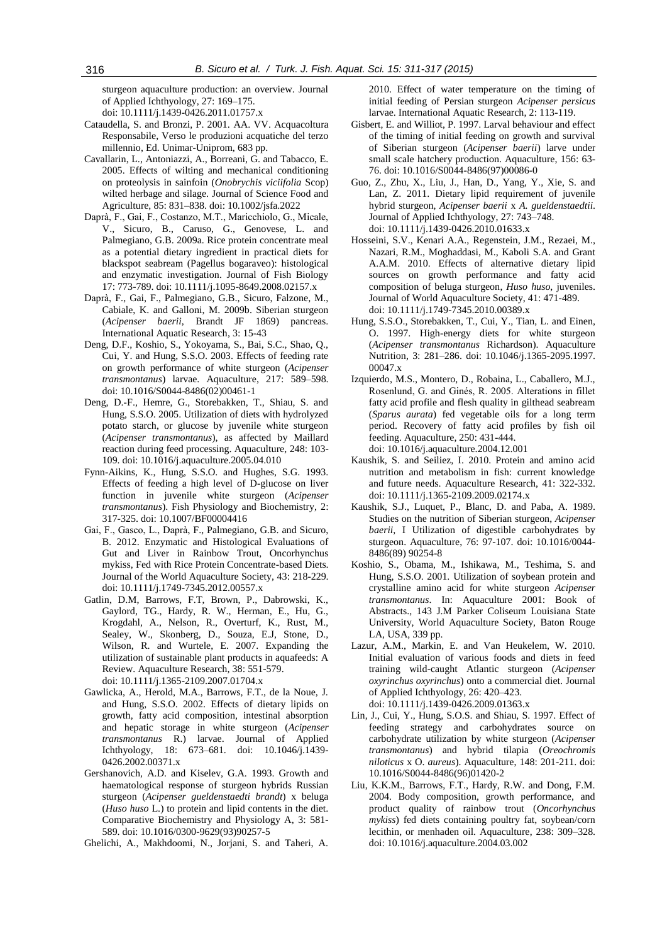sturgeon aquaculture production: an overview. Journal of Applied Ichthyology, 27: 169–175. doi: 10.1111/j.1439-0426.2011.01757.x

- 
- Cataudella, S. and Bronzi, P. 2001. AA. VV. Acquacoltura Responsabile, Verso le produzioni acquatiche del terzo millennio, Ed. Unimar-Uniprom, 683 pp.
- Cavallarin, L., Antoniazzi, A., Borreani, G. and Tabacco, E. 2005. Effects of wilting and mechanical conditioning on proteolysis in sainfoin (*Onobrychis viciifolia* Scop) wilted herbage and silage. Journal of Science Food and Agriculture, 85: 831–838. doi: 10.1002/jsfa.2022
- Daprà, F., Gai, F., Costanzo, M.T., Maricchiolo, G., Micale, V., Sicuro, B., Caruso, G., Genovese, L. and Palmegiano, G.B. 2009a. Rice protein concentrate meal as a potential dietary ingredient in practical diets for blackspot seabream (Pagellus bogaraveo): histological and enzymatic investigation. Journal of Fish Biology 17: 773-789. doi: 10.1111/j.1095-8649.2008.02157.x
- Daprà, F., Gai, F., Palmegiano, G.B., Sicuro, Falzone, M., Cabiale, K. and Galloni, M. 2009b. Siberian sturgeon (*Acipenser baerii*, Brandt JF 1869) pancreas. International Aquatic Research, 3: 15-43
- Deng, D.F., Koshio, S., Yokoyama, S., Bai, S.C., Shao, Q., Cui, Y. and Hung, S.S.O. 2003. Effects of feeding rate on growth performance of white sturgeon (*Acipenser transmontanus*) larvae. Aquaculture, 217: 589–598. doi: 10.1016/S0044-8486(02)00461-1
- Deng, D.-F., Hemre, G., Storebakken, T., Shiau, S. and Hung, S.S.O. 2005. Utilization of diets with hydrolyzed potato starch, or glucose by juvenile white sturgeon (*Acipenser transmontanus*), as affected by Maillard reaction during feed processing. Aquaculture, 248: 103- 109. doi: 10.1016/j.aquaculture.2005.04.010
- Fynn-Aikins, K., Hung, S.S.O. and Hughes, S.G. 1993. Effects of feeding a high level of D-glucose on liver function in juvenile white sturgeon (*Acipenser transmontanus*). Fish Physiology and Biochemistry, 2: 317-325. doi: 10.1007/BF00004416
- Gai, F., Gasco, L., Daprà, F., Palmegiano, G.B. and Sicuro, B. 2012. Enzymatic and Histological Evaluations of Gut and Liver in Rainbow Trout, Oncorhynchus mykiss, Fed with Rice Protein Concentrate-based Diets. Journal of the World Aquaculture Society, 43: 218-229. doi: 10.1111/j.1749-7345.2012.00557.x
- Gatlin, D.M, Barrows, F.T, Brown, P., Dabrowski, K., Gaylord, TG., Hardy, R. W., Herman, E., Hu, G., Krogdahl, A., Nelson, R., Overturf, K., Rust, M., Sealey, W., Skonberg, D., Souza, E.J, Stone, D., Wilson, R. and Wurtele, E. 2007. Expanding the utilization of sustainable plant products in aquafeeds: A Review. Aquaculture Research, 38: 551-579. doi: 10.1111/j.1365-2109.2007.01704.x
- Gawlicka, A., Herold, M.A., Barrows, F.T., de la Noue, J. and Hung, S.S.O. 2002. Effects of dietary lipids on growth, fatty acid composition, intestinal absorption and hepatic storage in white sturgeon (*Acipenser transmontanus* R.) larvae. Journal of Applied Ichthyology, 18: 673–681. doi: 10.1046/j.1439- 0426.2002.00371.x
- Gershanovich, A.D. and Kiselev, G.A. 1993. Growth and haematological response of sturgeon hybrids Russian sturgeon (*Acipenser gueldenstaedti brandt*) x beluga (*Huso huso* L.) to protein and lipid contents in the diet. Comparative Biochemistry and Physiology A, 3: 581- 589. doi: 10.1016/0300-9629(93)90257-5

Ghelichi, A., Makhdoomi, N., Jorjani, S. and Taheri, A.

2010. Effect of water temperature on the timing of initial feeding of Persian sturgeon *Acipenser persicus* larvae. International Aquatic Research, 2: 113-119.

- Gisbert, E. and Williot, P. 1997. Larval behaviour and effect of the timing of initial feeding on growth and survival of Siberian sturgeon (*Acipenser baerii*) larve under small scale hatchery production. Aquaculture, 156: 63- 76. doi: 10.1016/S0044-8486(97)00086-0
- Guo, Z., Zhu, X., Liu, J., Han, D., Yang, Y., Xie, S. and Lan, Z. 2011. Dietary lipid requirement of juvenile hybrid sturgeon, *Acipenser baerii* x *A. gueldenstaedtii*. Journal of Applied Ichthyology, 27: 743–748. doi: 10.1111/j.1439-0426.2010.01633.x
- Hosseini, S.V., Kenari A.A., Regenstein, J.M., Rezaei, M., Nazari, R.M., Moghaddasi, M., Kaboli S.A. and Grant A.A.M. 2010. Effects of alternative dietary lipid sources on growth performance and fatty acid composition of beluga sturgeon, *Huso huso*, juveniles. Journal of World Aquaculture Society, 41: 471-489. doi: 10.1111/j.1749-7345.2010.00389.x
- Hung, S.S.O., Storebakken, T., Cui, Y., Tian, L. and Einen, O. 1997. High-energy diets for white sturgeon (*Acipenser transmontanus* Richardson). Aquaculture Nutrition, 3: 281–286. doi: 10.1046/j.1365-2095.1997. 00047 x
- Izquierdo, M.S., Montero, D., Robaina, L., Caballero, M.J., Rosenlund, G. and Ginés, R. 2005. Alterations in fillet fatty acid profile and flesh quality in gilthead seabream (*Sparus aurata*) fed vegetable oils for a long term period. Recovery of fatty acid profiles by fish oil feeding. Aquaculture, 250: 431-444.
	- doi: 10.1016/j.aquaculture.2004.12.001
- Kaushik, S. and Seiliez, I. 2010. Protein and amino acid nutrition and metabolism in fish: current knowledge and future needs. Aquaculture Research, 41: 322-332. doi: 10.1111/j.1365-2109.2009.02174.x
- Kaushik, S.J., Luquet, P., Blanc, D. and Paba, A. 1989. Studies on the nutrition of Siberian sturgeon, *Acipenser baerii*, I Utilization of digestible carbohydrates by sturgeon. Aquaculture, 76: 97-107. doi: 10.1016/0044- 8486(89) 90254-8
- Koshio, S., Obama, M., Ishikawa, M., Teshima, S. and Hung, S.S.O. 2001. Utilization of soybean protein and crystalline amino acid for white sturgeon *Acipenser transmontanus*. In: Aquaculture 2001: Book of Abstracts., 143 J.M Parker Coliseum Louisiana State University, World Aquaculture Society, Baton Rouge LA, USA, 339 pp.
- Lazur, A.M., Markin, E. and Van Heukelem, W. 2010. Initial evaluation of various foods and diets in feed training wild-caught Atlantic sturgeon (*Acipenser oxyrinchus oxyrinchus*) onto a commercial diet. Journal of Applied Ichthyology, 26: 420–423. doi: 10.1111/j.1439-0426.2009.01363.x
- Lin, J., Cui, Y., Hung, S.O.S. and Shiau, S. 1997. Effect of feeding strategy and carbohydrates source on carbohydrate utilization by white sturgeon (*Acipenser transmontanus*) and hybrid tilapia (*Oreochromis niloticus* x O. *aureus*). Aquaculture, 148: 201-211. doi: 10.1016/S0044-8486(96)01420-2
- Liu, K.K.M., Barrows, F.T., Hardy, R.W. and Dong, F.M. 2004. Body composition, growth performance, and product quality of rainbow trout (*Oncorhynchus mykiss*) fed diets containing poultry fat, soybean/corn lecithin, or menhaden oil. Aquaculture, 238: 309–328. doi: 10.1016/j.aquaculture.2004.03.002